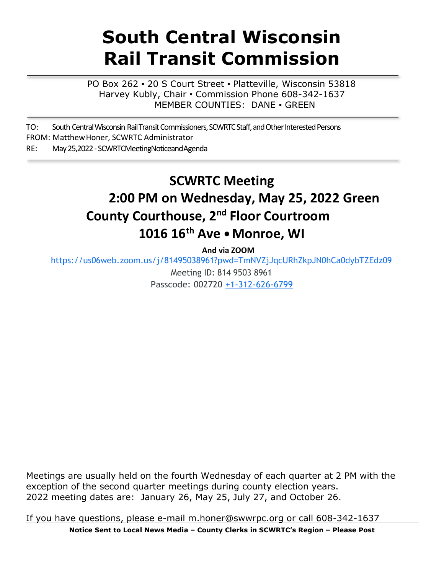# **South Central Wisconsin Rail Transit Commission**

PO Box 262 · 20 S Court Street · Platteville, Wisconsin 53818 Harvey Kubly, Chair · Commission Phone 608-342-1637 MEMBER COUNTIES: DANE ▪ GREEN

TO: South Central Wisconsin Rail Transit Commissioners, SCWRTC Staff, and Other Interested Persons FROM: MatthewHoner, SCWRTC Administrator RE: May25,2022-SCWRTCMeetingNoticeandAgenda

# **SCWRTC Meeting 2:00 PM on Wednesday, May 25, 2022 Green County Courthouse, 2 nd Floor Courtroom 1016 16th Ave •Monroe, WI**

**And via ZOOM**

<https://us06web.zoom.us/j/81495038961?pwd=TmNVZjJqcURhZkpJN0hCa0dybTZEdz09>

Meeting ID: 814 9503 8961 Passcode: 002720 +1-312-626-6799

Meetings are usually held on the fourth Wednesday of each quarter at 2 PM with the exception of the second quarter meetings during county election years. 2022 meeting dates are: January 26, May 25, July 27, and October 26.

If you have questions, please [e-mail m.honer@swwrpc.org](mailto:Ifyouhavequestions%2Cpleasee-mailm.honer@swwrpc.orgorcall608-342-1637) or call 608-342-1637

**Notice Sent to Local News Media – County Clerks in SCWRTC's Region – Please Post**